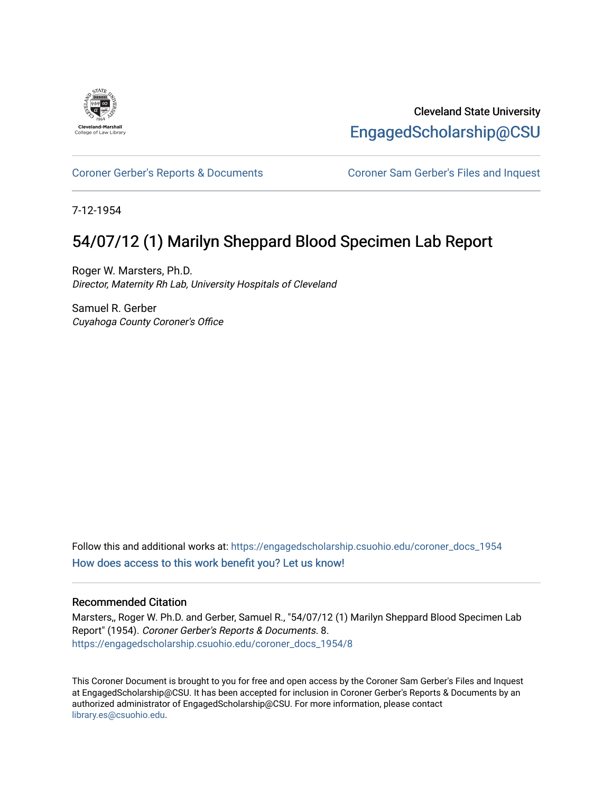

Cleveland State University [EngagedScholarship@CSU](https://engagedscholarship.csuohio.edu/) 

### [Coroner Gerber's Reports & Documents](https://engagedscholarship.csuohio.edu/coroner_docs_1954) [Coroner Sam Gerber's Files and Inquest](https://engagedscholarship.csuohio.edu/sheppard_coroner)

7-12-1954

# 54/07/12 (1) Marilyn Sheppard Blood Specimen Lab Report

Roger W. Marsters, Ph.D. Director, Maternity Rh Lab, University Hospitals of Cleveland

Samuel R. Gerber Cuyahoga County Coroner's Office

Follow this and additional works at: [https://engagedscholarship.csuohio.edu/coroner\\_docs\\_1954](https://engagedscholarship.csuohio.edu/coroner_docs_1954?utm_source=engagedscholarship.csuohio.edu%2Fcoroner_docs_1954%2F8&utm_medium=PDF&utm_campaign=PDFCoverPages)  [How does access to this work benefit you? Let us know!](http://library.csuohio.edu/engaged/)

#### Recommended Citation

Marsters,, Roger W. Ph.D. and Gerber, Samuel R., "54/07/12 (1) Marilyn Sheppard Blood Specimen Lab Report" (1954). Coroner Gerber's Reports & Documents. 8. [https://engagedscholarship.csuohio.edu/coroner\\_docs\\_1954/8](https://engagedscholarship.csuohio.edu/coroner_docs_1954/8?utm_source=engagedscholarship.csuohio.edu%2Fcoroner_docs_1954%2F8&utm_medium=PDF&utm_campaign=PDFCoverPages) 

This Coroner Document is brought to you for free and open access by the Coroner Sam Gerber's Files and Inquest at EngagedScholarship@CSU. It has been accepted for inclusion in Coroner Gerber's Reports & Documents by an authorized administrator of EngagedScholarship@CSU. For more information, please contact [library.es@csuohio.edu.](mailto:library.es@csuohio.edu)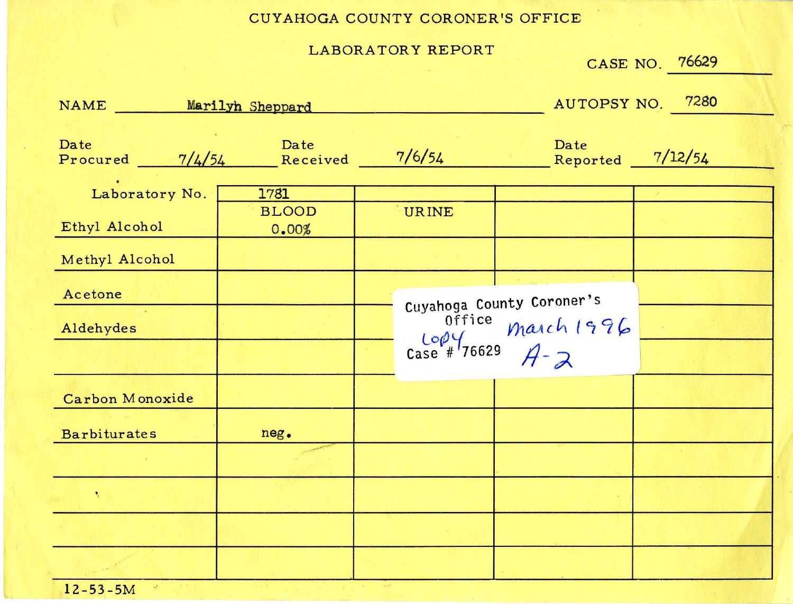### CUYAHOGA COUNTY CORONER'S OFFICE

#### LABORATORY REPORT

|                                   |                       |                               |                                                    | CASE NO. 76629             |
|-----------------------------------|-----------------------|-------------------------------|----------------------------------------------------|----------------------------|
| NAME _______ Marilyh Sheppard     |                       |                               |                                                    | AUTOPSY NO. 7280           |
| Date<br>Procured $\frac{7}{4/54}$ | Date<br>Received      | 7/6/54                        | Date                                               | Reported $\frac{7}{12/54}$ |
| Laboratory No.                    | 1781                  |                               |                                                    |                            |
| Ethyl Alcohol                     | <b>BLOOD</b><br>0.00% | <b>URINE</b>                  |                                                    |                            |
| Methyl Alcohol                    |                       |                               |                                                    |                            |
| Acetone<br>Aldehydes              |                       | Office<br>$\frac{100}{16629}$ | Cuyahoga County Coroner's<br>March 1996<br>$A - 2$ |                            |
| Carbon Monoxide                   |                       |                               |                                                    |                            |
| <b>Barbiturates</b>               | neg.                  |                               |                                                    |                            |
|                                   |                       |                               |                                                    |                            |
| $\mathbf{R}_{\mathrm{c}}$         |                       |                               |                                                    |                            |
|                                   |                       |                               |                                                    |                            |
|                                   |                       |                               |                                                    |                            |

 $12 - 53 - 5M$